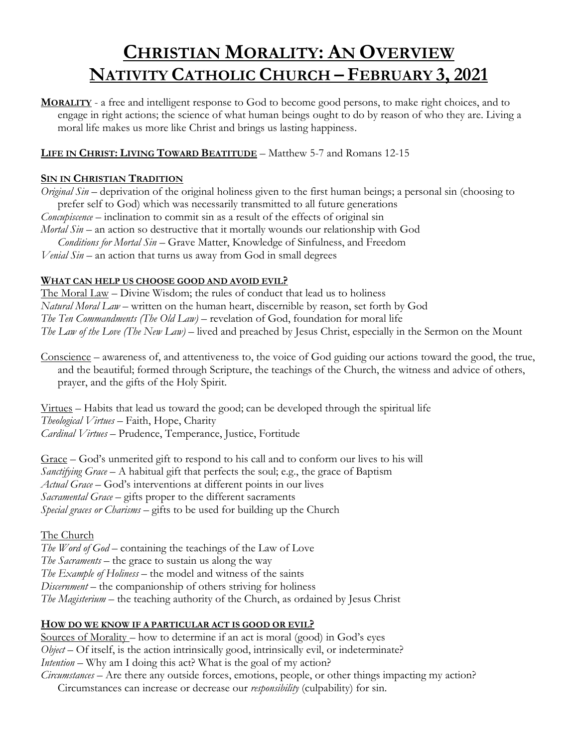### **CHRISTIAN MORALITY: AN OVERVIEW NATIVITY CATHOLIC CHURCH – FEBRUARY 3, 2021**

**MORALITY** - a free and intelligent response to God to become good persons, to make right choices, and to engage in right actions; the science of what human beings ought to do by reason of who they are. Living a moral life makes us more like Christ and brings us lasting happiness.

### **LIFE IN CHRIST: LIVING TOWARD BEATITUDE** – Matthew 5-7 and Romans 12-15

#### **SIN IN CHRISTIAN TRADITION**

*Original Sin* – deprivation of the original holiness given to the first human beings; a personal sin (choosing to prefer self to God) which was necessarily transmitted to all future generations *Concupiscence* – inclination to commit sin as a result of the effects of original sin *Mortal Sin* – an action so destructive that it mortally wounds our relationship with God *Conditions for Mortal Sin* – Grave Matter, Knowledge of Sinfulness, and Freedom

*Venial Sin* – an action that turns us away from God in small degrees

#### **WHAT CAN HELP US CHOOSE GOOD AND AVOID EVIL?**

The Moral Law – Divine Wisdom; the rules of conduct that lead us to holiness *Natural Moral Law* – written on the human heart, discernible by reason, set forth by God *The Ten Commandments (The Old Law)* – revelation of God, foundation for moral life *The Law of the Love (The New Law)* – lived and preached by Jesus Christ, especially in the Sermon on the Mount

Conscience – awareness of, and attentiveness to, the voice of God guiding our actions toward the good, the true, and the beautiful; formed through Scripture, the teachings of the Church, the witness and advice of others, prayer, and the gifts of the Holy Spirit.

Virtues – Habits that lead us toward the good; can be developed through the spiritual life *Theological Virtues* – Faith, Hope, Charity *Cardinal Virtues* – Prudence, Temperance, Justice, Fortitude

Grace – God's unmerited gift to respond to his call and to conform our lives to his will *Sanctifying Grace* – A habitual gift that perfects the soul; e.g., the grace of Baptism *Actual Grace* – God's interventions at different points in our lives *Sacramental Grace* – gifts proper to the different sacraments *Special graces or Charisms* – gifts to be used for building up the Church

#### The Church

*The Word of God* – containing the teachings of the Law of Love *The Sacraments* – the grace to sustain us along the way *The Example of Holiness* – the model and witness of the saints *Discernment* – the companionship of others striving for holiness *The Magisterium* – the teaching authority of the Church, as ordained by Jesus Christ

### **HOW DO WE KNOW IF A PARTICULAR ACT IS GOOD OR EVIL?**

Sources of Morality – how to determine if an act is moral (good) in God's eyes *Object* – Of itself, is the action intrinsically good, intrinsically evil, or indeterminate? *Intention* – Why am I doing this act? What is the goal of my action? *Circumstances* – Are there any outside forces, emotions, people, or other things impacting my action? Circumstances can increase or decrease our *responsibility* (culpability) for sin.